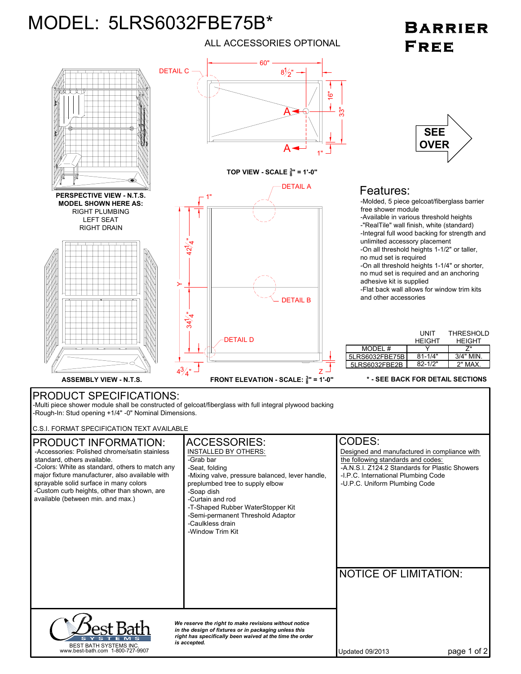## MODEL: 5LRS6032FBE75B\*

ALL ACCESSORIES OPTIONAL

## **BARRIER** FREE